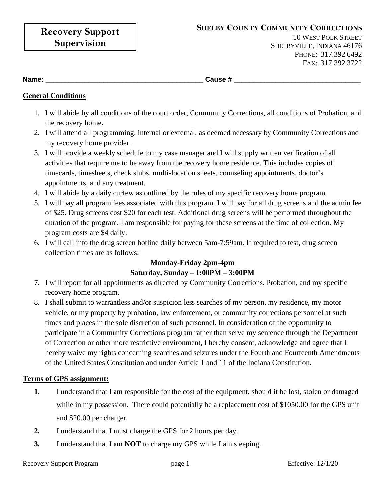**Name: \_\_\_\_\_\_\_\_\_\_\_\_\_\_\_\_\_\_\_\_\_\_\_\_\_\_\_\_\_\_\_\_\_\_\_\_\_\_\_\_\_ Cause # \_\_\_\_\_\_\_\_\_\_\_\_\_\_\_\_\_\_\_\_\_\_\_\_\_\_\_\_\_\_\_\_\_**

## **General Conditions**

- 1. I will abide by all conditions of the court order, Community Corrections, all conditions of Probation, and the recovery home.
- 2. I will attend all programming, internal or external, as deemed necessary by Community Corrections and my recovery home provider.
- 3. I will provide a weekly schedule to my case manager and I will supply written verification of all activities that require me to be away from the recovery home residence. This includes copies of timecards, timesheets, check stubs, multi-location sheets, counseling appointments, doctor's appointments, and any treatment.
- 4. I will abide by a daily curfew as outlined by the rules of my specific recovery home program.
- 5. I will pay all program fees associated with this program. I will pay for all drug screens and the admin fee of \$25. Drug screens cost \$20 for each test. Additional drug screens will be performed throughout the duration of the program. I am responsible for paying for these screens at the time of collection. My program costs are \$4 daily.
- 6. I will call into the drug screen hotline daily between 5am-7:59am. If required to test, drug screen collection times are as follows:

# **Monday-Friday 2pm-4pm Saturday, Sunday – 1:00PM – 3:00PM**

- 7. I will report for all appointments as directed by Community Corrections, Probation, and my specific recovery home program.
- 8. I shall submit to warrantless and/or suspicion less searches of my person, my residence, my motor vehicle, or my property by probation, law enforcement, or community corrections personnel at such times and places in the sole discretion of such personnel. In consideration of the opportunity to participate in a Community Corrections program rather than serve my sentence through the Department of Correction or other more restrictive environment, I hereby consent, acknowledge and agree that I hereby waive my rights concerning searches and seizures under the Fourth and Fourteenth Amendments of the United States Constitution and under Article 1 and 11 of the Indiana Constitution.

### **Terms of GPS assignment:**

- **1.** I understand that I am responsible for the cost of the equipment, should it be lost, stolen or damaged while in my possession. There could potentially be a replacement cost of \$1050.00 for the GPS unit and \$20.00 per charger.
- **2.** I understand that I must charge the GPS for 2 hours per day.
- **3.** I understand that I am **NOT** to charge my GPS while I am sleeping.

#### Recovery Support Program page 1 Effective:  $12/1/20$